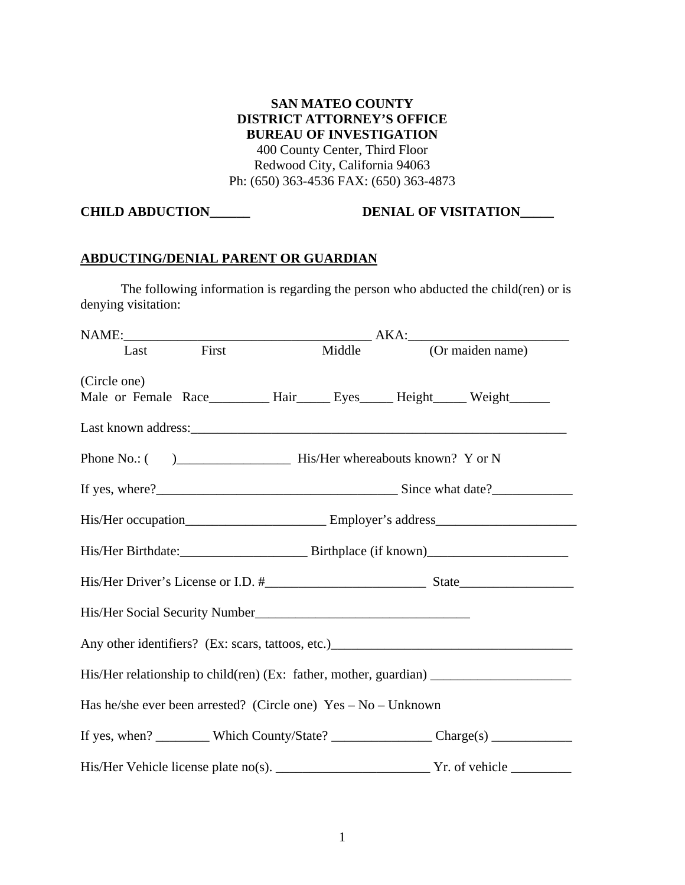**SAN MATEO COUNTY DISTRICT ATTORNEY'S OFFICE BUREAU OF INVESTIGATION**  400 County Center, Third Floor Redwood City, California 94063 Ph: (650) 363-4536 FAX: (650) 363-4873

## **CHILD ABDUCTION\_\_\_\_\_\_\_ DENIAL OF VISITATION\_\_\_\_\_**

### **ABDUCTING/DENIAL PARENT OR GUARDIAN**

 The following information is regarding the person who abducted the child(ren) or is denying visitation:

| Last First                                                       |  |  | Middle |  | (Or maiden name)                                                                                    |  |
|------------------------------------------------------------------|--|--|--------|--|-----------------------------------------------------------------------------------------------------|--|
| (Circle one)                                                     |  |  |        |  | Male or Female Race_________ Hair_____ Eyes_____ Height_____ Weight______                           |  |
|                                                                  |  |  |        |  |                                                                                                     |  |
|                                                                  |  |  |        |  |                                                                                                     |  |
|                                                                  |  |  |        |  |                                                                                                     |  |
|                                                                  |  |  |        |  |                                                                                                     |  |
|                                                                  |  |  |        |  |                                                                                                     |  |
|                                                                  |  |  |        |  |                                                                                                     |  |
|                                                                  |  |  |        |  |                                                                                                     |  |
|                                                                  |  |  |        |  |                                                                                                     |  |
|                                                                  |  |  |        |  |                                                                                                     |  |
| Has he/she ever been arrested? (Circle one) $Yes - No - Unknown$ |  |  |        |  |                                                                                                     |  |
|                                                                  |  |  |        |  | If yes, when? __________ Which County/State? ______________________ Charge(s) _____________________ |  |
|                                                                  |  |  |        |  |                                                                                                     |  |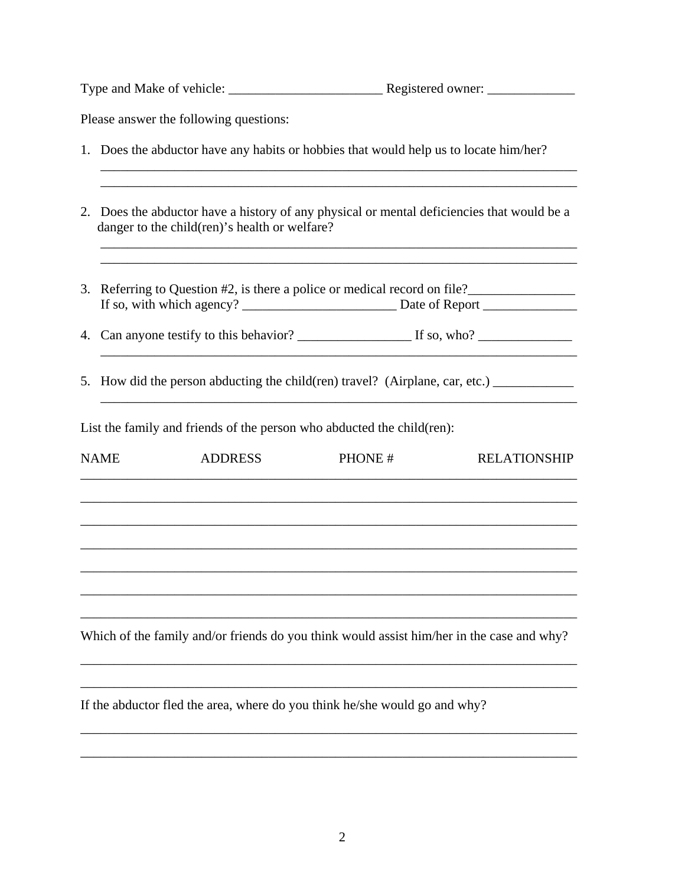| Type and Make of vehicle: | Registered owner: |
|---------------------------|-------------------|
|                           |                   |
|                           |                   |

Please answer the following questions:

- 1. Does the abductor have any habits or hobbies that would help us to locate him/her?
- 2. Does the abductor have a history of any physical or mental deficiencies that would be a danger to the child(ren)'s health or welfare?

 $\overline{\phantom{a}}$  , and the contribution of the contribution of the contribution of the contribution of the contribution of the contribution of the contribution of the contribution of the contribution of the contribution of the

\_\_\_\_\_\_\_\_\_\_\_\_\_\_\_\_\_\_\_\_\_\_\_\_\_\_\_\_\_\_\_\_\_\_\_\_\_\_\_\_\_\_\_\_\_\_\_\_\_\_\_\_\_\_\_\_\_\_\_\_\_\_\_\_\_\_\_\_\_\_\_

\_\_\_\_\_\_\_\_\_\_\_\_\_\_\_\_\_\_\_\_\_\_\_\_\_\_\_\_\_\_\_\_\_\_\_\_\_\_\_\_\_\_\_\_\_\_\_\_\_\_\_\_\_\_\_\_\_\_\_\_\_\_\_\_\_\_\_\_\_\_\_

- 3. Referring to Question #2, is there a police or medical record on file? If so, with which agency? \_\_\_\_\_\_\_\_\_\_\_\_\_\_\_\_\_\_\_\_\_\_\_ Date of Report \_\_\_\_\_\_\_\_\_\_\_\_\_\_
- 4. Can anyone testify to this behavior? \_\_\_\_\_\_\_\_\_\_\_\_\_\_\_\_\_ If so, who? \_\_\_\_\_\_\_\_\_\_\_\_\_\_
- 5. How did the person abducting the child(ren) travel? (Airplane, car, etc.)

List the family and friends of the person who abducted the child(ren):

| <b>NAME</b> | <b>ADDRESS</b>                                                             | PHONE# | <b>RELATIONSHIP</b>                                                                       |
|-------------|----------------------------------------------------------------------------|--------|-------------------------------------------------------------------------------------------|
|             |                                                                            |        |                                                                                           |
|             |                                                                            |        |                                                                                           |
|             |                                                                            |        |                                                                                           |
|             |                                                                            |        |                                                                                           |
|             |                                                                            |        |                                                                                           |
|             |                                                                            |        | Which of the family and/or friends do you think would assist him/her in the case and why? |
|             |                                                                            |        |                                                                                           |
|             | If the abductor fled the area, where do you think he/she would go and why? |        |                                                                                           |

\_\_\_\_\_\_\_\_\_\_\_\_\_\_\_\_\_\_\_\_\_\_\_\_\_\_\_\_\_\_\_\_\_\_\_\_\_\_\_\_\_\_\_\_\_\_\_\_\_\_\_\_\_\_\_\_\_\_\_\_\_\_\_\_\_\_\_\_\_\_\_\_\_\_

\_\_\_\_\_\_\_\_\_\_\_\_\_\_\_\_\_\_\_\_\_\_\_\_\_\_\_\_\_\_\_\_\_\_\_\_\_\_\_\_\_\_\_\_\_\_\_\_\_\_\_\_\_\_\_\_\_\_\_\_\_\_\_\_\_\_\_\_\_\_\_\_\_\_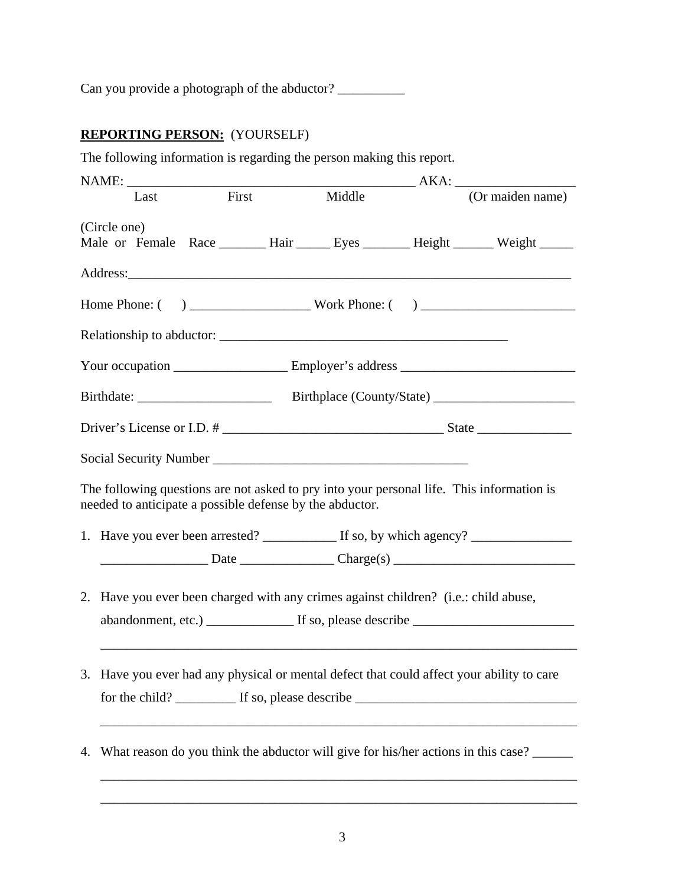Can you provide a photograph of the abductor? \_\_\_\_\_\_\_\_\_\_

# **REPORTING PERSON:** (YOURSELF)

The following information is regarding the person making this report.

| Last                                                                                      | First | Middle                                                                                    |  | (Or maiden name)                                                                     |  |  |
|-------------------------------------------------------------------------------------------|-------|-------------------------------------------------------------------------------------------|--|--------------------------------------------------------------------------------------|--|--|
| (Circle one)                                                                              |       |                                                                                           |  | Male or Female Race _______ Hair ______ Eyes _______ Height ______ Weight ______     |  |  |
|                                                                                           |       |                                                                                           |  |                                                                                      |  |  |
|                                                                                           |       |                                                                                           |  |                                                                                      |  |  |
|                                                                                           |       |                                                                                           |  |                                                                                      |  |  |
|                                                                                           |       |                                                                                           |  |                                                                                      |  |  |
|                                                                                           |       |                                                                                           |  |                                                                                      |  |  |
|                                                                                           |       |                                                                                           |  |                                                                                      |  |  |
|                                                                                           |       | Social Security Number<br><u>Social Security Number</u>                                   |  |                                                                                      |  |  |
| needed to anticipate a possible defense by the abductor.                                  |       | The following questions are not asked to pry into your personal life. This information is |  |                                                                                      |  |  |
|                                                                                           |       |                                                                                           |  | 1. Have you ever been arrested? ___________ If so, by which agency? ____________     |  |  |
|                                                                                           |       |                                                                                           |  | $Date$ Date $\qquad \qquad$ Charge(s) $\qquad \qquad$                                |  |  |
|                                                                                           |       | 2. Have you ever been charged with any crimes against children? (i.e.: child abuse,       |  |                                                                                      |  |  |
| 3. Have you ever had any physical or mental defect that could affect your ability to care |       |                                                                                           |  |                                                                                      |  |  |
|                                                                                           |       |                                                                                           |  | 4. What reason do you think the abductor will give for his/her actions in this case? |  |  |
|                                                                                           |       |                                                                                           |  |                                                                                      |  |  |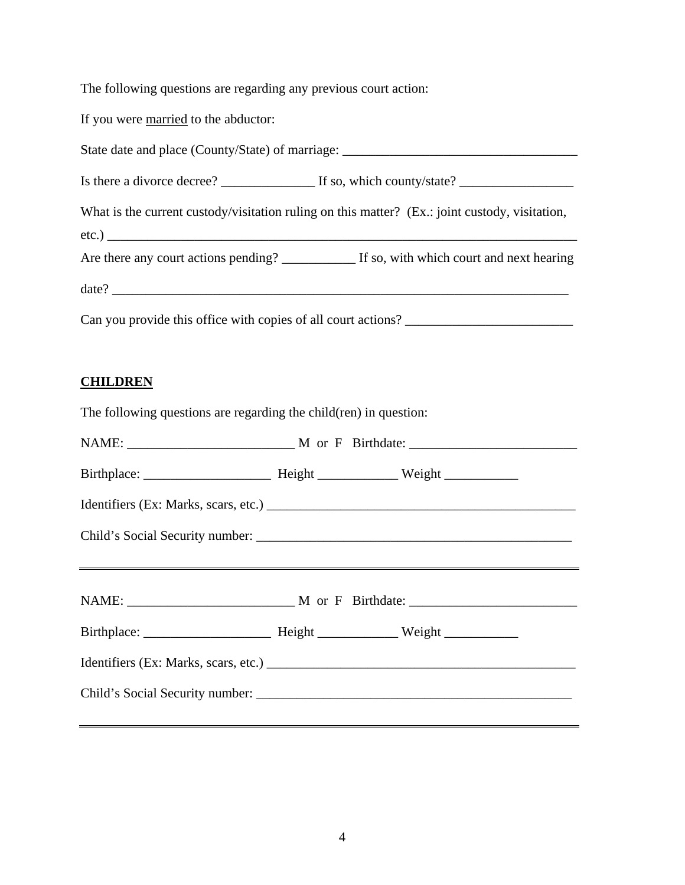The following questions are regarding any previous court action:

If you were married to the abductor:

State date and place (County/State) of marriage: \_\_\_\_\_\_\_\_\_\_\_\_\_\_\_\_\_\_\_\_\_\_\_\_\_\_\_\_\_\_\_\_

Is there a divorce decree? \_\_\_\_\_\_\_\_\_\_\_\_\_\_ If so, which county/state? \_\_\_\_\_\_\_\_\_\_\_\_\_\_\_\_\_

What is the current custody/visitation ruling on this matter? (Ex.: joint custody, visitation,

 $etc.)$ 

Are there any court actions pending? \_\_\_\_\_\_\_\_\_\_\_ If so, with which court and next hearing  $\text{date?}\_\_$ 

Can you provide this office with copies of all court actions? \_\_\_\_\_\_\_\_\_\_\_\_\_\_\_\_\_\_\_\_\_\_\_\_\_

## **CHILDREN**

The following questions are regarding the child(ren) in question: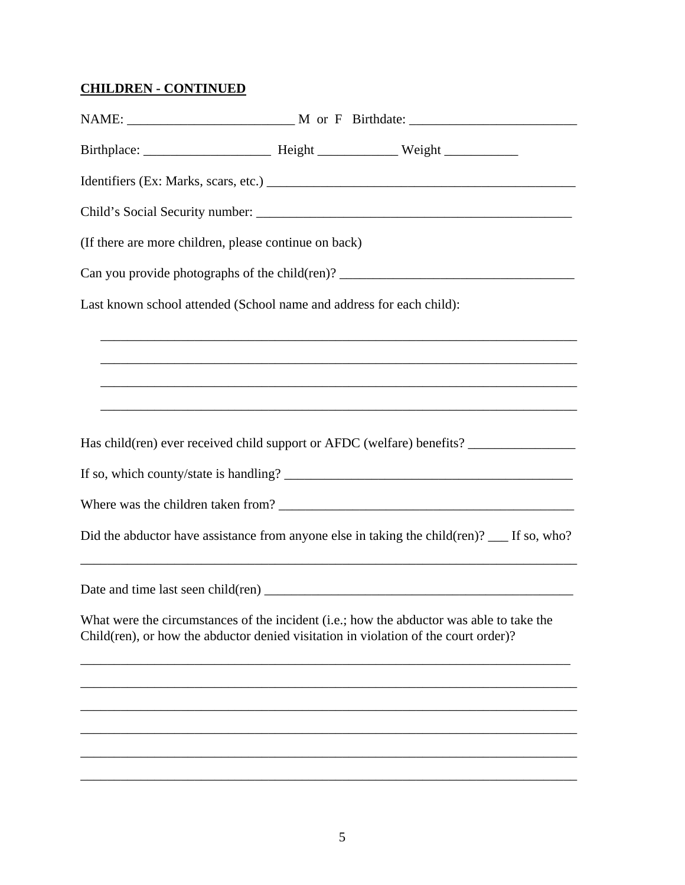## **CHILDREN - CONTINUED**

| (If there are more children, please continue on back)                                                                                                                           |  |  |  |  |
|---------------------------------------------------------------------------------------------------------------------------------------------------------------------------------|--|--|--|--|
| Can you provide photographs of the child(ren)? _________________________________                                                                                                |  |  |  |  |
| Last known school attended (School name and address for each child):                                                                                                            |  |  |  |  |
|                                                                                                                                                                                 |  |  |  |  |
|                                                                                                                                                                                 |  |  |  |  |
|                                                                                                                                                                                 |  |  |  |  |
| Has child(ren) ever received child support or AFDC (welfare) benefits?                                                                                                          |  |  |  |  |
|                                                                                                                                                                                 |  |  |  |  |
|                                                                                                                                                                                 |  |  |  |  |
| Did the abductor have assistance from anyone else in taking the child(ren)? __ If so, who?                                                                                      |  |  |  |  |
|                                                                                                                                                                                 |  |  |  |  |
| What were the circumstances of the incident (i.e.; how the abductor was able to take the<br>Child(ren), or how the abductor denied visitation in violation of the court order)? |  |  |  |  |
|                                                                                                                                                                                 |  |  |  |  |
|                                                                                                                                                                                 |  |  |  |  |
|                                                                                                                                                                                 |  |  |  |  |
|                                                                                                                                                                                 |  |  |  |  |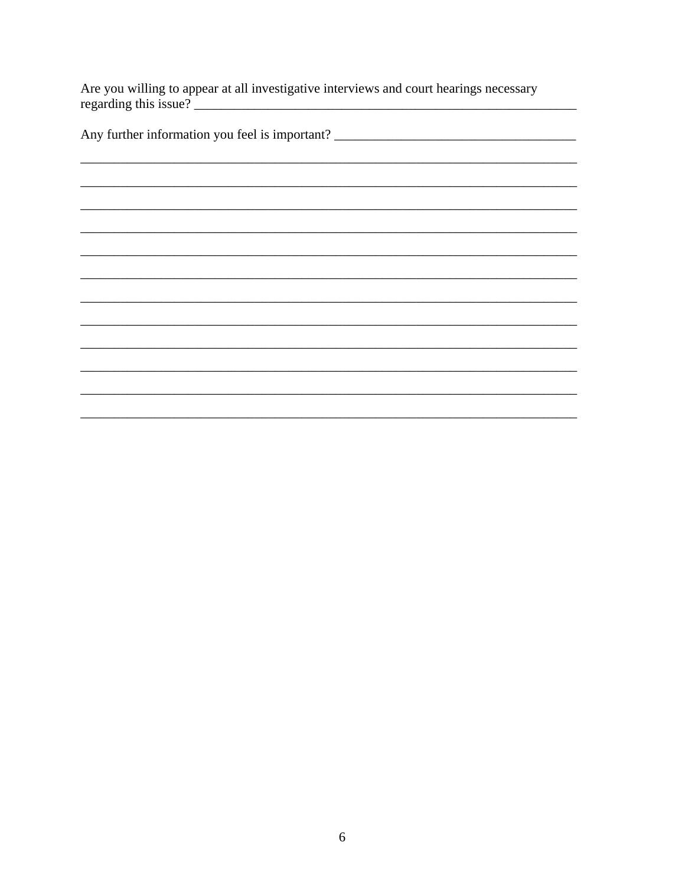Are you willing to appear at all investigative interviews and court hearings necessary regarding this issue? <u> 1980 - Johann Barn, mars eta bainar eta industrial eta industrial eta industrial eta industrial eta industria</u>

 $\overline{\phantom{a}}$ 

Any further information you feel is important? \_\_\_\_\_\_\_\_\_\_\_\_\_\_\_\_\_\_\_\_\_\_\_\_\_\_\_\_\_\_\_\_\_\_